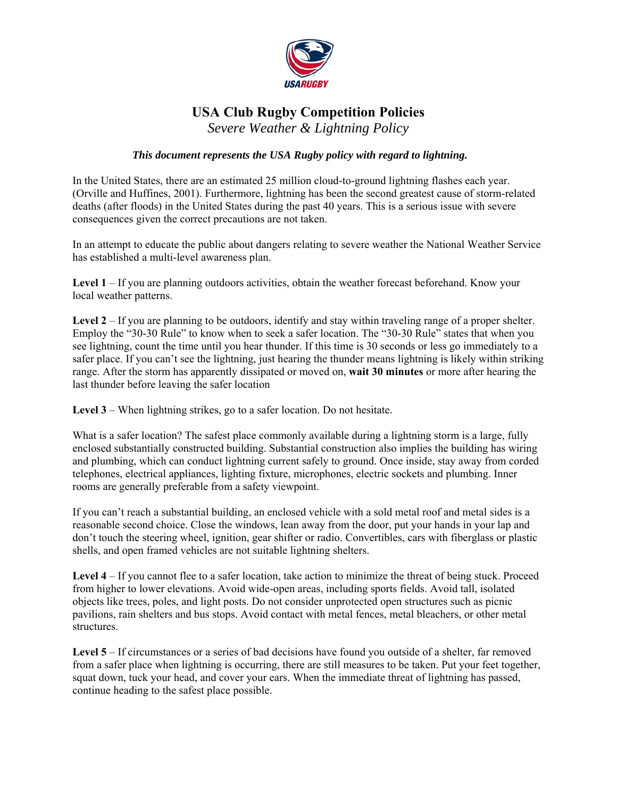

## **USA Club Rugby Competition Policies**

*Severe Weather & Lightning Policy* 

## *This document represents the USA Rugby policy with regard to lightning.*

In the United States, there are an estimated 25 million cloud-to-ground lightning flashes each year. (Orville and Huffines, 2001). Furthermore, lightning has been the second greatest cause of storm-related deaths (after floods) in the United States during the past 40 years. This is a serious issue with severe consequences given the correct precautions are not taken.

In an attempt to educate the public about dangers relating to severe weather the National Weather Service has established a multi-level awareness plan.

**Level 1** – If you are planning outdoors activities, obtain the weather forecast beforehand. Know your local weather patterns.

Level 2 – If you are planning to be outdoors, identify and stay within traveling range of a proper shelter. Employ the "30-30 Rule" to know when to seek a safer location. The "30-30 Rule" states that when you see lightning, count the time until you hear thunder. If this time is 30 seconds or less go immediately to a safer place. If you can't see the lightning, just hearing the thunder means lightning is likely within striking range. After the storm has apparently dissipated or moved on, **wait 30 minutes** or more after hearing the last thunder before leaving the safer location

**Level 3** – When lightning strikes, go to a safer location. Do not hesitate.

What is a safer location? The safest place commonly available during a lightning storm is a large, fully enclosed substantially constructed building. Substantial construction also implies the building has wiring and plumbing, which can conduct lightning current safely to ground. Once inside, stay away from corded telephones, electrical appliances, lighting fixture, microphones, electric sockets and plumbing. Inner rooms are generally preferable from a safety viewpoint.

If you can't reach a substantial building, an enclosed vehicle with a sold metal roof and metal sides is a reasonable second choice. Close the windows, lean away from the door, put your hands in your lap and don't touch the steering wheel, ignition, gear shifter or radio. Convertibles, cars with fiberglass or plastic shells, and open framed vehicles are not suitable lightning shelters.

**Level 4** – If you cannot flee to a safer location, take action to minimize the threat of being stuck. Proceed from higher to lower elevations. Avoid wide-open areas, including sports fields. Avoid tall, isolated objects like trees, poles, and light posts. Do not consider unprotected open structures such as picnic pavilions, rain shelters and bus stops. Avoid contact with metal fences, metal bleachers, or other metal structures.

**Level 5** – If circumstances or a series of bad decisions have found you outside of a shelter, far removed from a safer place when lightning is occurring, there are still measures to be taken. Put your feet together, squat down, tuck your head, and cover your ears. When the immediate threat of lightning has passed, continue heading to the safest place possible.